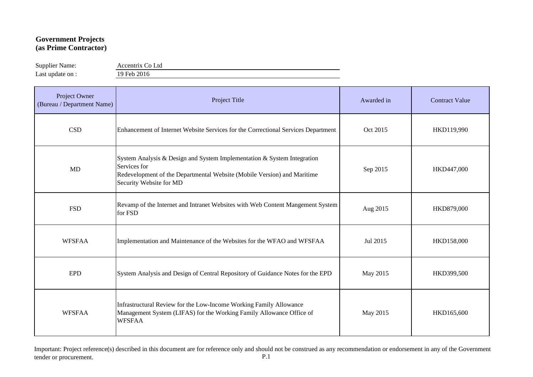## **Government Projects (as Prime Contractor)**

Supplier Name: Accentrix Co Ltd

Last update on : 19 Feb 2016

| Project Owner<br>(Bureau / Department Name) | Project Title                                                                                                                                                                                 | Awarded in | <b>Contract Value</b> |
|---------------------------------------------|-----------------------------------------------------------------------------------------------------------------------------------------------------------------------------------------------|------------|-----------------------|
| <b>CSD</b>                                  | Enhancement of Internet Website Services for the Correctional Services Department                                                                                                             | Oct 2015   | HKD119,990            |
| <b>MD</b>                                   | System Analysis & Design and System Implementation & System Integration<br>Services for<br>Redevelopment of the Departmental Website (Mobile Version) and Maritime<br>Security Website for MD | Sep 2015   | HKD447,000            |
| <b>FSD</b>                                  | Revamp of the Internet and Intranet Websites with Web Content Mangement System<br>for FSD                                                                                                     | Aug 2015   | HKD879,000            |
| <b>WFSFAA</b>                               | Implementation and Maintenance of the Websites for the WFAO and WFSFAA                                                                                                                        | Jul 2015   | HKD158,000            |
| <b>EPD</b>                                  | System Analysis and Design of Central Repository of Guidance Notes for the EPD                                                                                                                | May 2015   | HKD399,500            |
| <b>WFSFAA</b>                               | Infrastructural Review for the Low-Income Working Family Allowance<br>Management System (LIFAS) for the Working Family Allowance Office of<br><b>WFSFAA</b>                                   | May 2015   | HKD165,600            |

Important: Project reference(s) described in this document are for reference only and should not be construed as any recommendation or endorsement in any of the Government tender or procurement. P.1